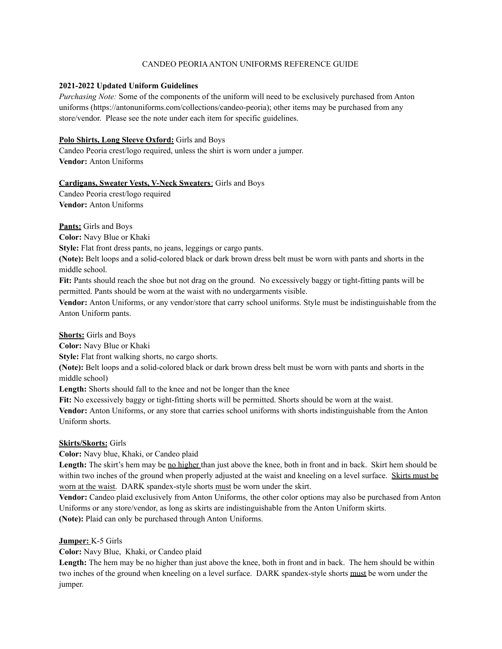# CANDEO PEORIAANTON UNIFORMS REFERENCE GUIDE

## **2021-2022 Updated Uniform Guidelines**

*Purchasing Note:* Some of the components of the uniform will need to be exclusively purchased from Anton uniforms (https://antonuniforms.com/collections/candeo-peoria); other items may be purchased from any store/vendor. Please see the note under each item for specific guidelines.

# **Polo Shirts, Long Sleeve Oxford:** Girls and Boys

Candeo Peoria crest/logo required, unless the shirt is worn under a jumper. **Vendor:** Anton Uniforms

#### **Cardigans, Sweater Vests, V-Neck Sweaters**: Girls and Boys

Candeo Peoria crest/logo required **Vendor:** Anton Uniforms

**Pants:** Girls and Boys

**Color:** Navy Blue or Khaki

**Style:** Flat front dress pants, no jeans, leggings or cargo pants.

**(Note):** Belt loops and a solid-colored black or dark brown dress belt must be worn with pants and shorts in the middle school.

**Fit:** Pants should reach the shoe but not drag on the ground. No excessively baggy or tight-fitting pants will be permitted. Pants should be worn at the waist with no undergarments visible.

**Vendor:** Anton Uniforms, or any vendor/store that carry school uniforms. Style must be indistinguishable from the Anton Uniform pants.

#### **Shorts:** Girls and Boys

**Color:** Navy Blue or Khaki

**Style:** Flat front walking shorts, no cargo shorts.

**(Note):** Belt loops and a solid-colored black or dark brown dress belt must be worn with pants and shorts in the middle school)

**Length:** Shorts should fall to the knee and not be longer than the knee

**Fit:** No excessively baggy or tight-fitting shorts will be permitted. Shorts should be worn at the waist.

**Vendor:** Anton Uniforms, or any store that carries school uniforms with shorts indistinguishable from the Anton Uniform shorts.

## **Skirts/Skorts:** Girls

**Color:** Navy blue, Khaki, or Candeo plaid

Length: The skirt's hem may be <u>no higher</u> than just above the knee, both in front and in back. Skirt hem should be within two inches of the ground when properly adjusted at the waist and kneeling on a level surface. Skirts must be worn at the waist. DARK spandex-style shorts must be worn under the skirt.

**Vendor:** Candeo plaid exclusively from Anton Uniforms, the other color options may also be purchased from Anton Uniforms or any store/vendor, as long as skirts are indistinguishable from the Anton Uniform skirts. **(Note):** Plaid can only be purchased through Anton Uniforms.

# **Jumper:** K-5 Girls

**Color:** Navy Blue, Khaki, or Candeo plaid

**Length:** The hem may be no higher than just above the knee, both in front and in back. The hem should be within two inches of the ground when kneeling on a level surface. DARK spandex-style shorts must be worn under the jumper.